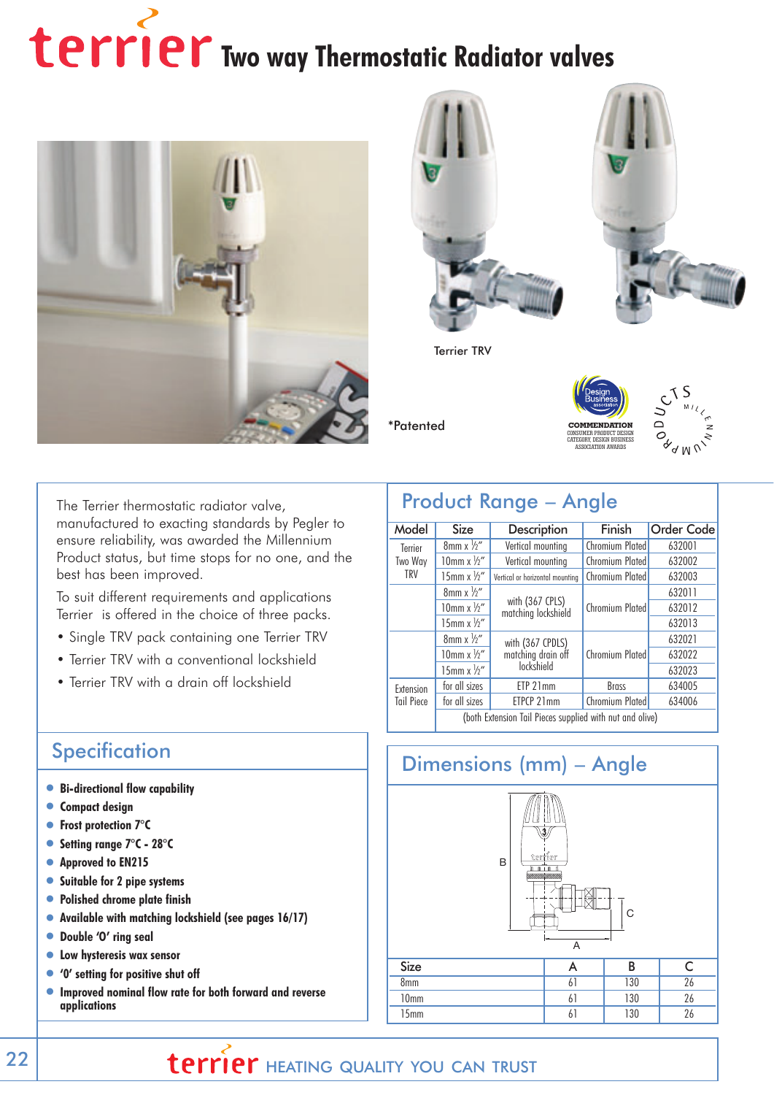# **Terrier** Two way Thermostatic Radiator valves





Terrier TRV

\*Patented





The Terrier thermostatic radiator valve, manufactured to exacting standards by Pegler to ensure reliability, was awarded the Millennium Product status, but time stops for no one, and the best has been improved.

To suit different requirements and applications Terrier is offered in the choice of three packs.

- Single TRV pack containing one Terrier TRV
- Terrier TRV with a conventional lockshield
- Terrier TRV with a drain off lockshield

#### **Specification**

- •**Bi-directional flow capability**
- •**Compact design**
- •**Frost protection 7°C**
- •**Setting range 7°C 28°C**
- •**Approved to EN215**
- •**Suitable for 2 pipe systems**
- •**Polished chrome plate finish**
- •**Available with matching lockshield (see pages 16/17)**
- •**Double 'O' ring seal**
- •**Low hysteresis wax sensor**
- •**'0' setting for positive shut off**
- •**Improved nominal flow rate for both forward and reverse applications**

# Product Range – Angle

| Model                          | <b>Size</b>                                              | Description                            | Finish          | <b>Order Code</b> |
|--------------------------------|----------------------------------------------------------|----------------------------------------|-----------------|-------------------|
| Terrier                        | $8mm \times \frac{1}{2}$                                 | Vertical mounting                      | Chromium Plated | 632001            |
| Two Way                        | 10mm $x \frac{1}{2}$ "                                   | Vertical mounting                      | Chromium Plated | 632002            |
| TRV                            | 15mm $x\frac{1}{2}$                                      | Vertical or horizontal mountina        | Chromium Plated | 632003            |
|                                | $8$ mm x $\frac{1}{2}$ "                                 |                                        |                 | 632011            |
|                                | $10$ mm x $\frac{1}{2}$ "                                | with (367 CPLS)<br>matching lockshield | Chromium Plated | 632012            |
|                                | 15mm $x \frac{1}{2}$ "                                   |                                        |                 | 632013            |
|                                | $8$ mm x $\frac{1}{2}$ "                                 | with (367 CPDLS)                       | Chromium Plated | 632021            |
|                                | 10mm $x \frac{1}{2}$ "                                   | matching drain off                     |                 | 632022            |
|                                | 15mm $x \frac{1}{2}$ "                                   | lockshield                             |                 | 632023            |
| Extension<br><b>Tail Piece</b> | for all sizes                                            | ETP 21mm                               | <b>Brass</b>    | 634005            |
|                                | for all sizes                                            | ETPCP 21mm                             | Chromium Plated | 634006            |
|                                | (both Extension Tail Pieces supplied with nut and olive) |                                        |                 |                   |



# **EXAMPLE 22 | THEATING QUALITY YOU CAN TRUST**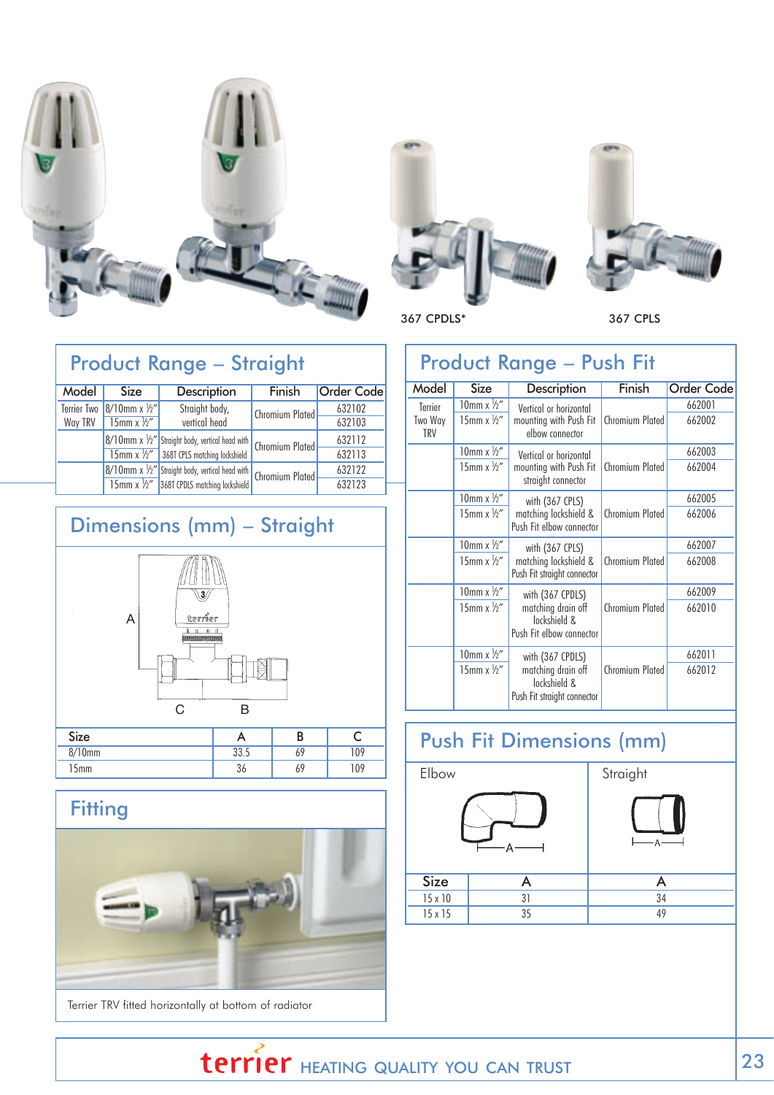





367 CPDLS\* 367 CPLS

### Product Range – Straight

| Model       | <b>Size</b>               | Description                                                          | Finish                 | <b>Order Code</b> |
|-------------|---------------------------|----------------------------------------------------------------------|------------------------|-------------------|
| Terrier Two | $8/10$ mm x $\frac{1}{2}$ | Straight body,                                                       | Chromium Plated        | 632102            |
| Way TRV     | 15mm x $\frac{1}{2}$ "    | vertical head                                                        |                        | 632103            |
|             |                           | $ 8/10$ mm x $\frac{1}{2}$ " Straight body, vertical head with       | <b>Chromium Plated</b> | 632112            |
|             |                           | 15mm x 1/2" 368T CPLS matching lockshield                            |                        | 632113            |
|             |                           | $\sqrt{8/10}$ mm x $\frac{1}{2}$ " Straight body, vertical head with | <b>Chromium Plated</b> | 632122            |
|             |                           | 15mm x 1/2" 368T CPDLS matching lockshield                           |                        | 632123            |
|             |                           |                                                                      |                        |                   |

# Dimensions (mm) – Straight



#### **Fitting**



Terrier TRV fitted horizontally at bottom of radiator

| <b>Product Range - Push Fit</b> |                           |                                                                   |                 |                   |  |  |
|---------------------------------|---------------------------|-------------------------------------------------------------------|-----------------|-------------------|--|--|
| Model                           | Size                      | Description                                                       | Finish          | <b>Order Code</b> |  |  |
| Terrier                         | $10$ mm x $\frac{1}{2}$   | Vertical or horizontal                                            |                 | 662001            |  |  |
| Two Way<br><b>TRV</b>           | 15mm $x \frac{1}{2}$ "    | mounting with Push Fit<br>elbow connector                         | Chromium Plated | 662002            |  |  |
|                                 | 10mm $x \frac{1}{2}$ "    | Vertical or horizontal                                            |                 | 662003            |  |  |
|                                 | 15mm $x \frac{1}{2}$ "    | mounting with Push Fit<br>straight connector                      | Chromium Plated | 662004            |  |  |
|                                 | $10$ mm x $\frac{1}{2}$ " | with (367 CPLS)                                                   | Chromium Plated | 662005            |  |  |
|                                 | 15mm $x\frac{1}{2}$ "     | matching lockshield &<br>Push Fit elbow connector                 |                 | 662006            |  |  |
|                                 | $10$ mm x $\frac{1}{2}$ " | with (367 CPLS)                                                   | Chromium Plated | 662007            |  |  |
|                                 | 15mm $x\frac{1}{2}$ "     | matching lockshield &<br>Push Fit straight connector              |                 | 662008            |  |  |
|                                 | 10mm x $\frac{1}{2}$ "    | with (367 CPDLS)                                                  |                 | 662009            |  |  |
|                                 | 15mm $x \frac{1}{2}$ "    | matching drain off<br>lockshield &<br>Push Fit elbow connector    | Chromium Plated | 662010            |  |  |
|                                 | 10mm $x \frac{1}{2}$ "    | with (367 CPDLS)                                                  |                 | 662011            |  |  |
|                                 | 15mm x $\frac{1}{2}$ "    | matching drain off<br>lockshield &<br>Push Fit straight connector | Chromium Plated | 662012            |  |  |

# Push Fit Dimensions (mm)



15 x 15 35 49

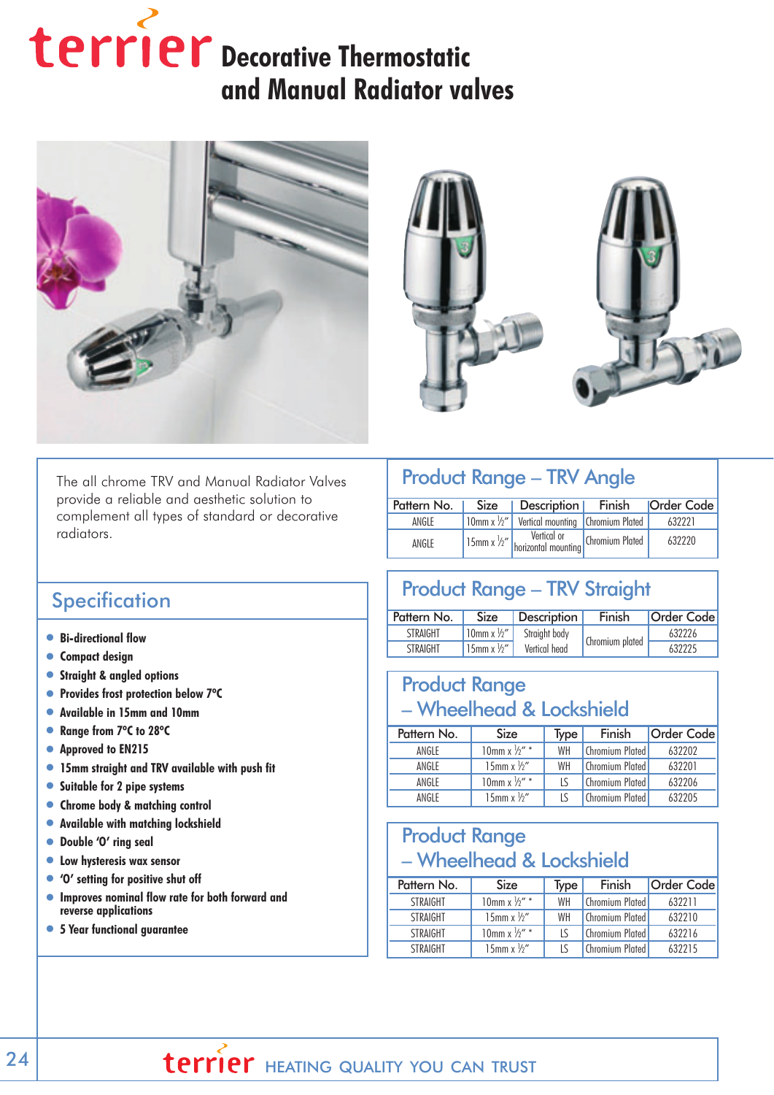# terrier Decorative Thermostatic **and Manual Radiator valves**





The all chrome TRV and Manual Radiator Valves provide a reliable and aesthetic solution to complement all types of standard or decorative radiators.

#### Product Range – TRV Angle

| Pattern No. | Size   Description   Finish                     | <b>Order Code</b> |
|-------------|-------------------------------------------------|-------------------|
| ANGI F      | 10mm x ½"   Vertical mounting   Chromium Plated | 632221            |
| ANGLE       | 15mm x 1/2"   Vertical or   Chromium Plated     | 632220            |

#### **Specification**

- •**Bi-directional flow**
- •**Compact design**
- •**Straight & angled options**
- •**Provides frost protection below 7ºC**
- •**Available in 15mm and 10mm**
- •**Range from 7ºC to 28ºC**
- •**Approved to EN215**
- •**15mm straight and TRV available with push fit**
- •**Suitable for 2 pipe systems**
- •**Chrome body & matching control**
- •**Available with matching lockshield**
- •**Double 'O' ring seal**
- •**Low hysteresis wax sensor**
- •**'O' setting for positive shut off**
- •**Improves nominal flow rate for both forward and reverse applications**
- •**5 Year functional guarantee**

# Product Range – TRV Straight

| Pattern No.     | <b>Size</b>                 | <b>Description</b> | Finish          | <b>Order Code</b> |
|-----------------|-----------------------------|--------------------|-----------------|-------------------|
| <b>STRAIGHT</b> | $'10$ mm x $\frac{1}{2}$ ", | Straight body      |                 | 632226            |
| <b>STRAIGHT</b> | 15mm x $\frac{1}{2}$ "      | Vertical head      | Chromium plated | 632225            |

#### Product Range – Wheelhead & Lockshield

| Pattern No. | <b>Size</b>              | Type | Finish                   | <b>Order Code</b> |
|-------------|--------------------------|------|--------------------------|-------------------|
| ANGLE       | 10mm x $\frac{1}{2}$ " * | WH   | <b>Chromium Plated</b>   | 632202            |
| ANGLE       | 15mm $x\frac{1}{2}$      | WH   | <b>Chromium Plated</b>   | 632201            |
| ANGLE       | 10mm x $\frac{1}{2}$ " * | ΙS   | Chromium Plated          | 632206            |
|             |                          |      |                          |                   |
| ANGI F      | 15mm $x\frac{1}{2}$      |      | <b>Chromium Plated  </b> | 632205            |

#### Product Range – Wheelhead & Lockshield

| Pattern No.     | <b>Size</b>              | Type | Finish                   | <b>Order Code</b> |
|-----------------|--------------------------|------|--------------------------|-------------------|
| <b>STRAIGHT</b> | 10mm x $\frac{1}{2}$ " * | WH   | <b>Chromium Plated I</b> | 632211            |
| <b>STRAIGHT</b> | 15mm $x\frac{1}{2}$      | WH   | <b>Chromium Plated I</b> | 632210            |
| <b>STRAIGHT</b> | 10mm x $\frac{1}{2}$ *   | I٢   | <b>Chromium Plated I</b> | 632216            |
| <b>STRAIGHT</b> | 15mm $x\frac{1}{2}$      |      | <b>Chromium Plated</b>   | 632215            |